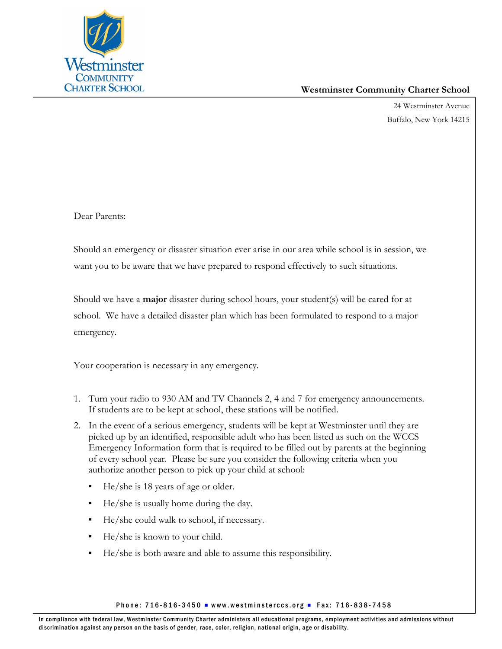

## **Westminster Community Charter School**

24 Westminster Avenue Buffalo, New York 14215

Dear Parents:

Should an emergency or disaster situation ever arise in our area while school is in session, we want you to be aware that we have prepared to respond effectively to such situations.

Should we have a **major** disaster during school hours, your student(s) will be cared for at school. We have a detailed disaster plan which has been formulated to respond to a major emergency.

Your cooperation is necessary in any emergency.

- 1. Turn your radio to 930 AM and TV Channels 2, 4 and 7 for emergency announcements. If students are to be kept at school, these stations will be notified.
- 2. In the event of a serious emergency, students will be kept at Westminster until they are picked up by an identified, responsible adult who has been listed as such on the WCCS Emergency Information form that is required to be filled out by parents at the beginning of every school year. Please be sure you consider the following criteria when you authorize another person to pick up your child at school:
	- $He/she$  is 18 years of age or older.
	- He/she is usually home during the day.
	- He/she could walk to school, if necessary.
	- He/she is known to your child.
	- He/she is both aware and able to assume this responsibility.

Phone: 716-816-3450 Www.westminsterccs.org Phone: 716-838-7458